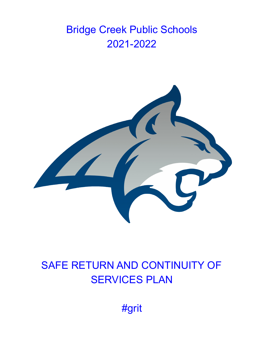# Bridge Creek Public Schools 2021-2022



# SAFE RETURN AND CONTINUITY OF **SERVICES PLAN**

#grit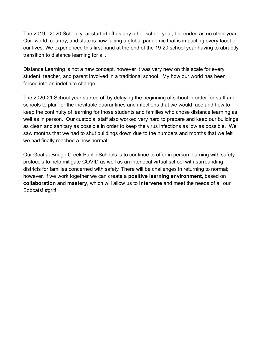The 2019 - 2020 School year started off as any other school year, but ended as no other year. Our world, country, and state is now facing a global pandemic that is impacting every facet of our lives. We experienced this first hand at the end of the 19-20 school year having to abruptly transition to distance learning for all.

Distance Learning is not a new concept, however it was very new on this scale for every student, teacher, and parent involved in a traditional school. My how our world has been forced into an indefinite change.

The 2020-21 School year started off by delaying the beginning of school in order for staff and schools to plan for the inevitable quarantines and infections that we would face and how to keep the continuity of learning for those students and families who chose distance learning as well as in person. Our custodial staff also worked very hard to prepare and keep our buildings as clean and sanitary as possible in order to keep the virus infections as low as possible. We saw months that we had to shut buildings down due to the numbers and months that we felt we had finally reached a new normal.

Our Goal at Bridge Creek Public Schools is to continue to offer in person learning with safety protocols to help mitigate COVID as well as an interlocal virtual school with surrounding districts for families concerned with safety. There will be challenges in returning to normal; however, if we work together we can create a **positive learning environment,** based on **collaboration** and **mastery**, which will allow us to **intervene** and meet the needs of all our Bobcats! #grit!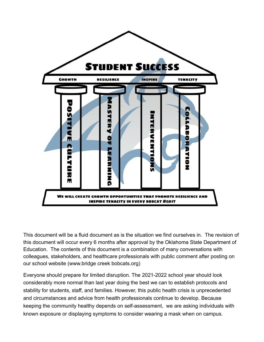

This document will be a fluid document as is the situation we find ourselves in. The revision of this document will occur every 6 months after approval by the Oklahoma State Department of Education. The contents of this document is a combination of many conversations with colleagues, stakeholders, and healthcare professionals with public comment after posting on our school website (www.bridge creek bobcats.org)

Everyone should prepare for limited disruption. The 2021-2022 school year should look considerably more normal than last year doing the best we can to establish protocols and stability for students, staff, and families. However, this public health crisis is unprecedented and circumstances and advice from health professionals continue to develop. Because keeping the community healthy depends on self-assessment, we are asking individuals with known exposure or displaying symptoms to consider wearing a mask when on campus.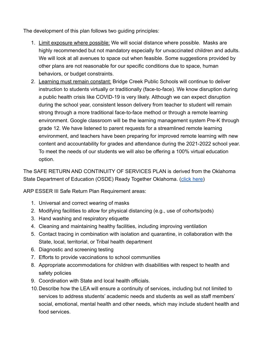The development of this plan follows two guiding principles:

- 1. Limit exposure where possible: We will social distance where possible. Masks are highly recommended but not mandatory especially for unvaccinated children and adults. We will look at all avenues to space out when feasible. Some suggestions provided by other plans are not reasonable for our specific conditions due to space, human behaviors, or budget constraints.
- 2. Learning must remain constant: Bridge Creek Public Schools will continue to deliver instruction to students virtually or traditionally (face-to-face). We know disruption during a public health crisis like COVID-19 is very likely. Although we can expect disruption during the school year, consistent lesson delivery from teacher to student will remain strong through a more traditional face-to-face method or through a remote learning environment. Google classroom will be the learning management system Pre-K through grade 12. We have listened to parent requests for a streamlined remote learning environment, and teachers have been preparing for improved remote learning with new content and accountability for grades and attendance during the 2021-2022 school year. To meet the needs of our students we will also be offering a 100% virtual education option.

The SAFE RETURN AND CONTINUITY OF SERVICES PLAN is derived from the Oklahoma State Department of Education (OSDE) Ready Together Oklahoma. [\(click here\)](https://readytogether.sde.ok.gov/)

ARP ESSER III Safe Return Plan Requirement areas:

- 1. Universal and correct wearing of masks
- 2. Modifying facilities to allow for physical distancing (e.g., use of cohorts/pods)
- 3. Hand washing and respiratory etiquette
- 4. Cleaning and maintaining healthy facilities, including improving ventilation
- 5. Contact tracing in combination with isolation and quarantine, in collaboration with the State, local, territorial, or Tribal health department
- 6. Diagnostic and screening testing
- 7. Efforts to provide vaccinations to school communities
- 8. Appropriate accommodations for children with disabilities with respect to health and safety policies
- 9. Coordination with State and local health officials.
- 10.Describe how the LEA will ensure a continuity of services, including but not limited to services to address students' academic needs and students as well as staff members' social, emotional, mental health and other needs, which may include student health and food services.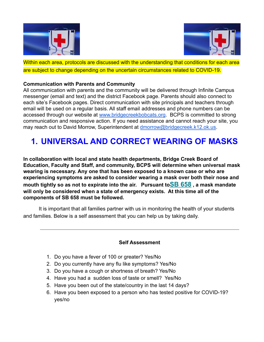



Within each area, protocols are discussed with the understanding that conditions for each area are subject to change depending on the uncertain circumstances related to COVID-19.

#### **Communication with Parents and Community**

All communication with parents and the community will be delivered through Infinite Campus messenger (email and text) and the district Facebook page. Parents should also connect to each site's Facebook pages. Direct communication with site principals and teachers through email will be used on a regular basis. All staff email addresses and phone numbers can be accessed through our website at [www.bridgecreekbobcats.org](http://www.bridgecreekbobcats.org). BCPS is committed to strong communication and responsive action. If you need assistance and cannot reach your site, you may reach out to David Morrow, Superintendent at [dmorrow@bridgecreek.k12.ok.us](mailto:dmorrow@bridgecreek.k12.ok.us).

# **1. UNIVERSAL AND CORRECT WEARING OF MASKS**

**In collaboration with local and state health departments, Bridge Creek Board of Education, Faculty and Staff, and community, BCPS will determine when universal mask wearing is necessary. Any one that has been exposed to a known case or who are experiencing symptoms are asked to consider wearing a mask over both their nose and mouth tightly so as not to expirate into the air. Pursuant to[SB 658](https://ossba.us8.list-manage.com/track/click?u=a654b89867fe89b24cb1c924f&id=7c62c6b963&e=c3931b671d) , a mask mandate will only be considered when a state of emergency exists. At this time all of the components of SB 658 must be followed.**

It is important that all families partner with us in monitoring the health of your students and families. Below is a self assessment that you can help us by taking daily.

### **Self Assessment**

- 1. Do you have a fever of 100 or greater? Yes/No
- 2. Do you currently have any flu like symptoms? Yes/No
- 3. Do you have a cough or shortness of breath? Yes/No
- 4. Have you had a sudden loss of taste or smell? Yes/No
- 5. Have you been out of the state/country in the last 14 days?
- 6. Have you been exposed to a person who has tested positive for COVID-19? yes/no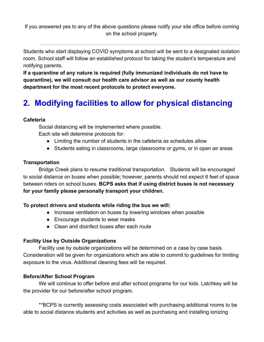If you answered yes to any of the above questions please notify your site office before coming on the school property.

Students who start displaying COVID symptoms at school will be sent to a designated isolation room. School staff will follow an established protocol for taking the student's temperature and notifying parents.

**If a quarantine of any nature is required (fully immunized individuals do not have to quarantine), we will consult our health care advisor as well as our county health department for the most recent protocols to protect everyone.**

# **2. Modifying facilities to allow for physical distancing**

### **Cafeteria**

Social distancing will be implemented where possible. Each site will determine protocols for:

- Limiting the number of students in the cafeteria as schedules allow
- Students eating in classrooms, large classrooms or gyms, or in open air areas

### **Transportation**

Bridge Creek plans to resume traditional transportation. Students will be encouraged to social distance on buses when possible; however, parents should not expect 6 feet of space between riders on school buses. **BCPS asks that if using district buses is not necessary for your family please personally transport your children.**

### **To protect drivers and students while riding the bus we will:**

- Increase ventilation on buses by lowering windows when possible
- Encourage students to wear masks
- Clean and disinfect buses after each route

### **Facility Use by Outside Organizations**

Facility use by outside organizations will be determined on a case by case basis. Consideration will be given for organizations which are able to commit to guidelines for limiting exposure to the virus. Additional cleaning fees will be required.

### **Before/After School Program**

We will continue to offer before and after school programs for our kids. Latchkey will be the provider for our before/after school program.

\*\*BCPS is currently assessing costs associated with purchasing additional rooms to be able to social distance students and activities as well as purchasing and installing ionizing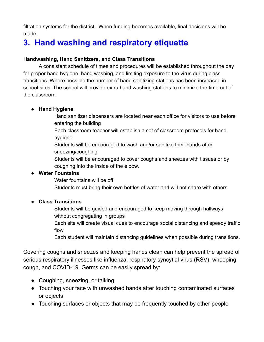filtration systems for the district. When funding becomes available, final decisions will be made.

## **3. Hand washing and respiratory etiquette**

### **Handwashing, Hand Sanitizers, and Class Transitions**

A consistent schedule of times and procedures will be established throughout the day for proper hand hygiene, hand washing, and limiting exposure to the virus during class transitions. Where possible the number of hand sanitizing stations has been increased in school sites. The school will provide extra hand washing stations to minimize the time out of the classroom.

### **● Hand Hygiene**

- Hand sanitizer dispensers are located near each office for visitors to use before entering the building
- Each classroom teacher will establish a set of classroom protocols for hand hygiene
- Students will be encouraged to wash and/or sanitize their hands after sneezing/coughing
- Students will be encouraged to cover coughs and sneezes with tissues or by coughing into the inside of the elbow.

### **● Water Fountains**

- Water fountains will be off
- Students must bring their own bottles of water and will not share with others

### **● Class Transitions**

- Students will be guided and encouraged to keep moving through hallways without congregating in groups
- Each site will create visual cues to encourage social distancing and speedy traffic flow
- Each student will maintain distancing guidelines when possible during transitions.

Covering coughs and sneezes and keeping hands clean can help prevent the spread of serious respiratory illnesses like influenza, respiratory syncytial virus (RSV), whooping cough, and COVID-19. Germs can be easily spread by:

- Coughing, sneezing, or talking
- Touching your face with unwashed hands after touching contaminated surfaces or objects
- Touching surfaces or objects that may be frequently touched by other people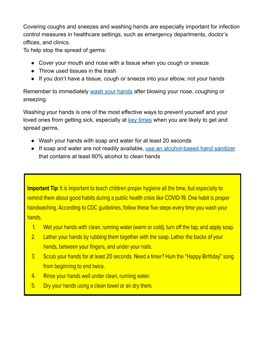Covering coughs and sneezes and washing hands are especially important for infection control measures in healthcare settings, such as emergency departments, doctor's offices, and clinics.

To help stop the spread of germs:

- Cover your mouth and nose with a tissue when you cough or sneeze
- Throw used tissues in the trash
- If you don't have a tissue, cough or sneeze into your elbow, not your hands

Remember to immediately wash your [hands](https://www.cdc.gov/handwashing/when-how-handwashing.html) after blowing your nose, coughing or sneezing.

Washing your hands is one of the most effective ways to prevent yourself and your loved ones from getting sick, especially at key [times](https://www.cdc.gov/handwashing/when-how-handwashing.html#keyTimes) when you are likely to get and spread germs.

- Wash your hands with soap and water for at least 20 seconds
- If soap and water are not readily available, use an [alcohol-based](https://www.cdc.gov/handwashing/hand-sanitizer-use.html) hand sanitizer that contains at least 60% alcohol to clean hands

Important Tip: It is important to teach children proper hygiene all the time, but especially to remind them about good habits during a public health crisis like COVID-19. One habit is proper handwashing. According to CDC quidelines, follow these five steps every time you wash your hands.

- $1.$ Wet your hands with clean, running water (warm or cold), turn off the tap, and apply soap.
- $2.$ Lather your hands by rubbing them together with the soap. Lather the backs of your hands, between your fingers, and under your nails.
- Scrub your hands for at least 20 seconds. Need a timer? Hum the "Happy Birthday" song  $3.$ from beginning to end twice.
- Rinse your hands well under clean, running water. 4.
- $5.$ Dry your hands using a clean towel or air dry them.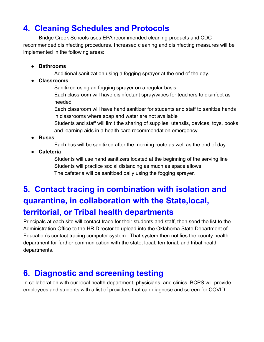### **4. Cleaning Schedules and Protocols**

Bridge Creek Schools uses EPA recommended cleaning products and CDC recommended disinfecting procedures. Increased cleaning and disinfecting measures will be implemented in the following areas:

- **● Bathrooms**
	- Additional sanitization using a fogging sprayer at the end of the day.
- **● Classrooms**

Sanitized using an fogging sprayer on a regular basis Each classroom will have disinfectant spray/wipes for teachers to disinfect as needed

Each classroom will have hand sanitizer for students and staff to sanitize hands in classrooms where soap and water are not available

Students and staff will limit the sharing of supplies, utensils, devices, toys, books and learning aids in a health care recommendation emergency.

**● Buses**

Each bus will be sanitized after the morning route as well as the end of day.

**● Cafeteria**

Students will use hand sanitizers located at the beginning of the serving line Students will practice social distancing as much as space allows The cafeteria will be sanitized daily using the fogging sprayer.

# **5. Contact tracing in combination with isolation and quarantine, in collaboration with the State,local, territorial, or Tribal health departments**

Principals at each site will contact trace for their students and staff, then send the list to the Administration Office to the HR Director to upload into the Oklahoma State Department of Education's contact tracing computer system. That system then notifies the county health department for further communication with the state, local, territorial, and tribal health departments.

### **6. Diagnostic and screening testing**

In collaboration with our local health department, physicians, and clinics, BCPS will provide employees and students with a list of providers that can diagnose and screen for COVID.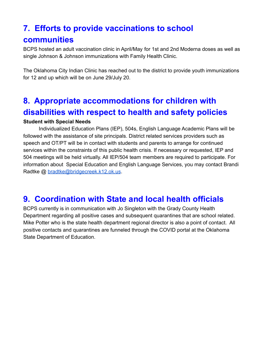# **7. Efforts to provide vaccinations to school**

### **communities**

BCPS hosted an adult vaccination clinic in April/May for 1st and 2nd Moderna doses as well as single Johnson & Johnson immunizations with Family Health Clinic.

The Oklahoma City Indian Clinic has reached out to the district to provide youth immunizations for 12 and up which will be on June 29/July 20.

## **8. Appropriate accommodations for children with disabilities with respect to health and safety policies**

### **Student with Special Needs**

Individualized Education Plans (IEP), 504s, English Language Academic Plans will be followed with the assistance of site principals. District related services providers such as speech and OT/PT will be in contact with students and parents to arrange for continued services within the constraints of this public health crisis. If necessary or requested, IEP and 504 meetings will be held virtually. All IEP/504 team members are required to participate. For information about Special Education and English Language Services, you may contact Brandi Radtke @ [bradtke@bridgecreek.k12.ok.us](mailto:bradtke@bridgecreek.k12.ok.us).

### **9. Coordination with State and local health officials**

BCPS currently is in communication with Jo Singleton with the Grady County Health Department regarding all positive cases and subsequent quarantines that are school related. Mike Potter who is the state health department regional director is also a point of contact. All positive contacts and quarantines are funneled through the COVID portal at the Oklahoma State Department of Education.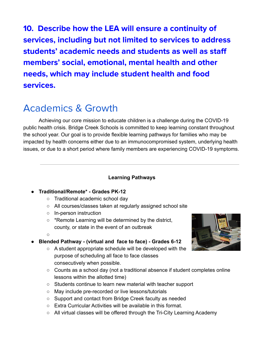**10. Describe how the LEA will ensure a continuity of services, including but not limited to services to address students' academic needs and students as well as staff members' social, emotional, mental health and other needs, which may include student health and food services.**

# Academics & Growth

Achieving our core mission to educate children is a challenge during the COVID-19 public health crisis. Bridge Creek Schools is committed to keep learning constant throughout the school year. Our goal is to provide flexible learning pathways for families who may be impacted by health concerns either due to an immunocompromised system, underlying health issues, or due to a short period where family members are experiencing COVID-19 symptoms.

### **Learning Pathways**

### **● Traditional/Remote\* - Grades PK-12**

- **○** Traditional academic school day
- **○** All courses/classes taken at regularly assigned school site
- In-person instruction
- \*Remote Learning will be determined by the district, county, or state in the event of an outbreak
- $\cap$

### **● Blended Pathway - (virtual and face to face) - Grades 6-12**

- A student appropriate schedule will be developed with the purpose of scheduling all face to face classes consecutively when possible.
- Counts as a school day (not a traditional absence if student completes online lessons within the allotted time)
- Students continue to learn new material with teacher support
- May include pre-recorded or live lessons/tutorials
- Support and contact from Bridge Creek faculty as needed
- Extra Curricular Activities will be available in this format.
- All virtual classes will be offered through the Tri-City Learning Academy

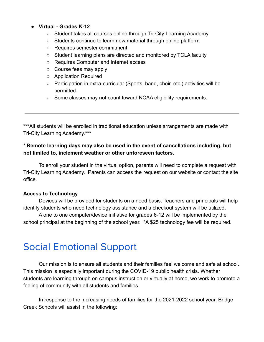### ● **Virtual - Grades K-12**

- Student takes all courses online through Tri-City Learning Academy
- Students continue to learn new material through online platform
- Requires semester commitment
- Student learning plans are directed and monitored by TCLA faculty
- Requires Computer and Internet access
- Course fees may apply
- Application Required
- Participation in extra-curricular (Sports, band, choir, etc.) activities will be permitted.
- Some classes may not count toward NCAA eligibility requirements.

\*\*\*All students will be enrolled in traditional education unless arrangements are made with Tri-City Learning Academy.\*\*\*

### \* **Remote learning days may also be used in the event of cancellations including, but not limited to, inclement weather or other unforeseen factors.**

To enroll your student in the virtual option, parents will need to complete a request with Tri-City Learning Academy. Parents can access the request on our website or contact the site office.

#### **Access to Technology**

Devices will be provided for students on a need basis. Teachers and principals will help identify students who need technology assistance and a checkout system will be utilized.

A one to one computer/device initiative for grades 6-12 will be implemented by the school principal at the beginning of the school year. \*A \$25 technology fee will be required.

# Social Emotional Support

Our mission is to ensure all students and their families feel welcome and safe at school. This mission is especially important during the COVID-19 public health crisis. Whether students are learning through on campus instruction or virtually at home, we work to promote a feeling of community with all students and families.

In response to the increasing needs of families for the 2021-2022 school year, Bridge Creek Schools will assist in the following: